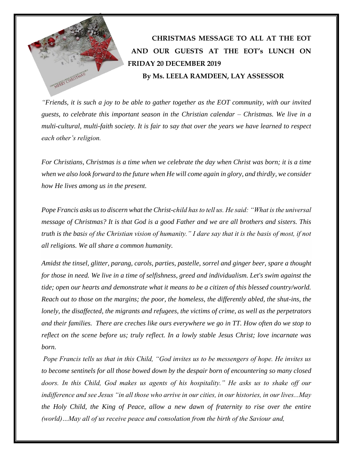

*"Friends, it is such a joy to be able to gather together as the EOT community, with our invited guests, to celebrate this important season in the Christian calendar – Christmas. We live in a multi-cultural, multi-faith society. It is fair to say that over the years we have learned to respect each other's religion.*

*For Christians, Christmas is a time when we celebrate the day when Christ was born; it is a time when we also look forward to the future when He will come again in glory, and thirdly, we consider how He lives among us in the present.*

*Pope Francis asks us to discern what the Christ-child has to tell us. He said: "What is the universal message of Christmas? It is that God is a good Father and we are all brothers and sisters. This truth is the basis of the Christian vision of humanity." I dare say that it is the basis of most, if not all religions. We all share a common humanity.*

*Amidst the tinsel, glitter, parang, carols, parties, pastelle, sorrel and ginger beer, spare a thought for those in need. We live in a time of selfishness, greed and individualism. Let's swim against the tide; open our hearts and demonstrate what it means to be a citizen of this blessed country/world. Reach out to those on the margins; the poor, the homeless, the differently abled, the shut-ins, the lonely, the disaffected, the migrants and refugees, the victims of crime, as well as the perpetrators and their families. There are creches like ours everywhere we go in TT. How often do we stop to reflect on the scene before us; truly reflect. In a lowly stable Jesus Christ; love incarnate was born.*

*Pope Francis tells us that in this Child, "God invites us to be messengers of hope. He invites us to become sentinels for all those bowed down by the despair born of encountering so many closed doors. In this Child, God makes us agents of his hospitality." He asks us to shake off our indifference and see Jesus "in all those who arrive in our cities, in our histories, in our lives...May the Holy Child, the King of Peace, allow a new dawn of fraternity to rise over the entire (world)…May all of us receive peace and consolation from the birth of the Saviour and,*